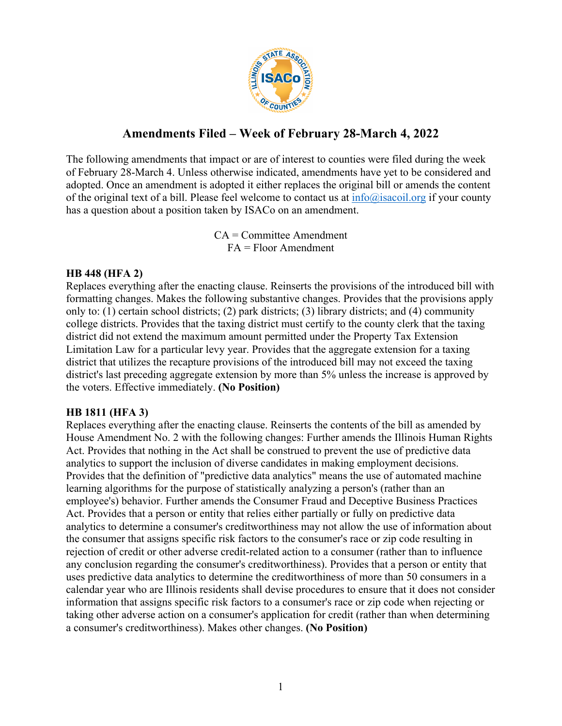

# **Amendments Filed – Week of February 28-March 4, 2022**

The following amendments that impact or are of interest to counties were filed during the week of February 28-March 4. Unless otherwise indicated, amendments have yet to be considered and adopted. Once an amendment is adopted it either replaces the original bill or amends the content of the original text of a bill. Please feel welcome to contact us at  $info(\hat{\omega})$  is acoil.org if your county has a question about a position taken by ISACo on an amendment.

> CA = Committee Amendment FA = Floor Amendment

### **HB 448 (HFA 2)**

Replaces everything after the enacting clause. Reinserts the provisions of the introduced bill with formatting changes. Makes the following substantive changes. Provides that the provisions apply only to: (1) certain school districts; (2) park districts; (3) library districts; and (4) community college districts. Provides that the taxing district must certify to the county clerk that the taxing district did not extend the maximum amount permitted under the Property Tax Extension Limitation Law for a particular levy year. Provides that the aggregate extension for a taxing district that utilizes the recapture provisions of the introduced bill may not exceed the taxing district's last preceding aggregate extension by more than 5% unless the increase is approved by the voters. Effective immediately. **(No Position)**

# **HB 1811 (HFA 3)**

Replaces everything after the enacting clause. Reinserts the contents of the bill as amended by House Amendment No. 2 with the following changes: Further amends the Illinois Human Rights Act. Provides that nothing in the Act shall be construed to prevent the use of predictive data analytics to support the inclusion of diverse candidates in making employment decisions. Provides that the definition of "predictive data analytics" means the use of automated machine learning algorithms for the purpose of statistically analyzing a person's (rather than an employee's) behavior. Further amends the Consumer Fraud and Deceptive Business Practices Act. Provides that a person or entity that relies either partially or fully on predictive data analytics to determine a consumer's creditworthiness may not allow the use of information about the consumer that assigns specific risk factors to the consumer's race or zip code resulting in rejection of credit or other adverse credit-related action to a consumer (rather than to influence any conclusion regarding the consumer's creditworthiness). Provides that a person or entity that uses predictive data analytics to determine the creditworthiness of more than 50 consumers in a calendar year who are Illinois residents shall devise procedures to ensure that it does not consider information that assigns specific risk factors to a consumer's race or zip code when rejecting or taking other adverse action on a consumer's application for credit (rather than when determining a consumer's creditworthiness). Makes other changes. **(No Position)**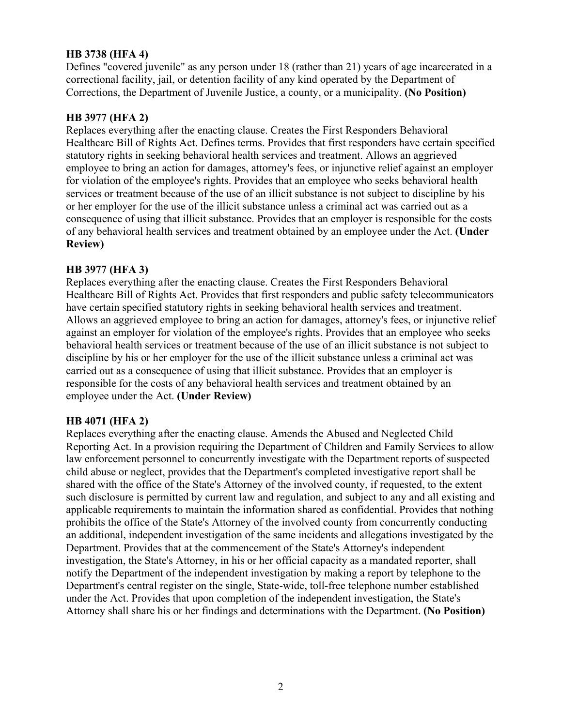### **HB 3738 (HFA 4)**

Defines "covered juvenile" as any person under 18 (rather than 21) years of age incarcerated in a correctional facility, jail, or detention facility of any kind operated by the Department of Corrections, the Department of Juvenile Justice, a county, or a municipality. **(No Position)**

### **HB 3977 (HFA 2)**

Replaces everything after the enacting clause. Creates the First Responders Behavioral Healthcare Bill of Rights Act. Defines terms. Provides that first responders have certain specified statutory rights in seeking behavioral health services and treatment. Allows an aggrieved employee to bring an action for damages, attorney's fees, or injunctive relief against an employer for violation of the employee's rights. Provides that an employee who seeks behavioral health services or treatment because of the use of an illicit substance is not subject to discipline by his or her employer for the use of the illicit substance unless a criminal act was carried out as a consequence of using that illicit substance. Provides that an employer is responsible for the costs of any behavioral health services and treatment obtained by an employee under the Act. **(Under Review)**

#### **HB 3977 (HFA 3)**

Replaces everything after the enacting clause. Creates the First Responders Behavioral Healthcare Bill of Rights Act. Provides that first responders and public safety telecommunicators have certain specified statutory rights in seeking behavioral health services and treatment. Allows an aggrieved employee to bring an action for damages, attorney's fees, or injunctive relief against an employer for violation of the employee's rights. Provides that an employee who seeks behavioral health services or treatment because of the use of an illicit substance is not subject to discipline by his or her employer for the use of the illicit substance unless a criminal act was carried out as a consequence of using that illicit substance. Provides that an employer is responsible for the costs of any behavioral health services and treatment obtained by an employee under the Act. **(Under Review)**

#### **HB 4071 (HFA 2)**

Replaces everything after the enacting clause. Amends the Abused and Neglected Child Reporting Act. In a provision requiring the Department of Children and Family Services to allow law enforcement personnel to concurrently investigate with the Department reports of suspected child abuse or neglect, provides that the Department's completed investigative report shall be shared with the office of the State's Attorney of the involved county, if requested, to the extent such disclosure is permitted by current law and regulation, and subject to any and all existing and applicable requirements to maintain the information shared as confidential. Provides that nothing prohibits the office of the State's Attorney of the involved county from concurrently conducting an additional, independent investigation of the same incidents and allegations investigated by the Department. Provides that at the commencement of the State's Attorney's independent investigation, the State's Attorney, in his or her official capacity as a mandated reporter, shall notify the Department of the independent investigation by making a report by telephone to the Department's central register on the single, State-wide, toll-free telephone number established under the Act. Provides that upon completion of the independent investigation, the State's Attorney shall share his or her findings and determinations with the Department. **(No Position)**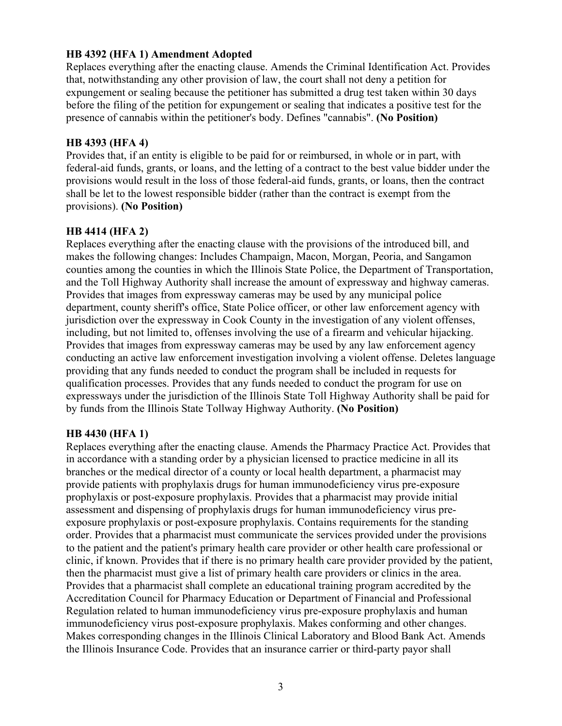#### **HB 4392 (HFA 1) Amendment Adopted**

Replaces everything after the enacting clause. Amends the Criminal Identification Act. Provides that, notwithstanding any other provision of law, the court shall not deny a petition for expungement or sealing because the petitioner has submitted a drug test taken within 30 days before the filing of the petition for expungement or sealing that indicates a positive test for the presence of cannabis within the petitioner's body. Defines "cannabis". **(No Position)**

#### **HB 4393 (HFA 4)**

Provides that, if an entity is eligible to be paid for or reimbursed, in whole or in part, with federal-aid funds, grants, or loans, and the letting of a contract to the best value bidder under the provisions would result in the loss of those federal-aid funds, grants, or loans, then the contract shall be let to the lowest responsible bidder (rather than the contract is exempt from the provisions). **(No Position)**

#### **HB 4414 (HFA 2)**

Replaces everything after the enacting clause with the provisions of the introduced bill, and makes the following changes: Includes Champaign, Macon, Morgan, Peoria, and Sangamon counties among the counties in which the Illinois State Police, the Department of Transportation, and the Toll Highway Authority shall increase the amount of expressway and highway cameras. Provides that images from expressway cameras may be used by any municipal police department, county sheriff's office, State Police officer, or other law enforcement agency with jurisdiction over the expressway in Cook County in the investigation of any violent offenses, including, but not limited to, offenses involving the use of a firearm and vehicular hijacking. Provides that images from expressway cameras may be used by any law enforcement agency conducting an active law enforcement investigation involving a violent offense. Deletes language providing that any funds needed to conduct the program shall be included in requests for qualification processes. Provides that any funds needed to conduct the program for use on expressways under the jurisdiction of the Illinois State Toll Highway Authority shall be paid for by funds from the Illinois State Tollway Highway Authority. **(No Position)**

#### **HB 4430 (HFA 1)**

Replaces everything after the enacting clause. Amends the Pharmacy Practice Act. Provides that in accordance with a standing order by a physician licensed to practice medicine in all its branches or the medical director of a county or local health department, a pharmacist may provide patients with prophylaxis drugs for human immunodeficiency virus pre-exposure prophylaxis or post-exposure prophylaxis. Provides that a pharmacist may provide initial assessment and dispensing of prophylaxis drugs for human immunodeficiency virus preexposure prophylaxis or post-exposure prophylaxis. Contains requirements for the standing order. Provides that a pharmacist must communicate the services provided under the provisions to the patient and the patient's primary health care provider or other health care professional or clinic, if known. Provides that if there is no primary health care provider provided by the patient, then the pharmacist must give a list of primary health care providers or clinics in the area. Provides that a pharmacist shall complete an educational training program accredited by the Accreditation Council for Pharmacy Education or Department of Financial and Professional Regulation related to human immunodeficiency virus pre-exposure prophylaxis and human immunodeficiency virus post-exposure prophylaxis. Makes conforming and other changes. Makes corresponding changes in the Illinois Clinical Laboratory and Blood Bank Act. Amends the Illinois Insurance Code. Provides that an insurance carrier or third-party payor shall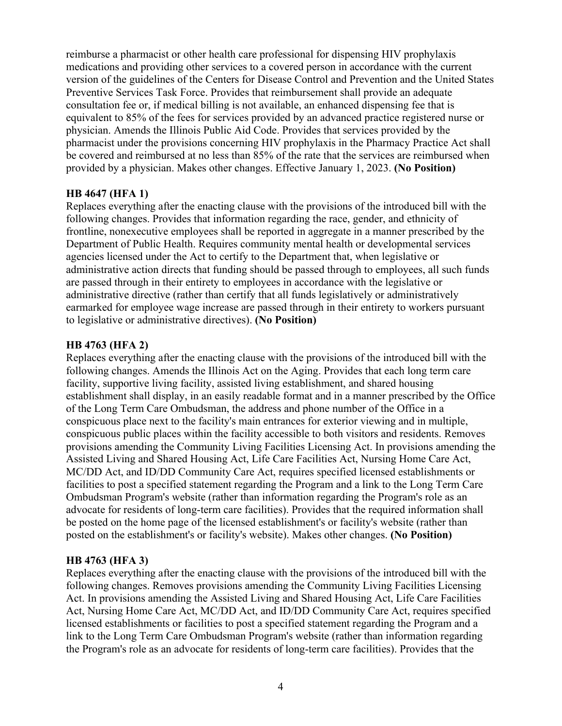reimburse a pharmacist or other health care professional for dispensing HIV prophylaxis medications and providing other services to a covered person in accordance with the current version of the guidelines of the Centers for Disease Control and Prevention and the United States Preventive Services Task Force. Provides that reimbursement shall provide an adequate consultation fee or, if medical billing is not available, an enhanced dispensing fee that is equivalent to 85% of the fees for services provided by an advanced practice registered nurse or physician. Amends the Illinois Public Aid Code. Provides that services provided by the pharmacist under the provisions concerning HIV prophylaxis in the Pharmacy Practice Act shall be covered and reimbursed at no less than 85% of the rate that the services are reimbursed when provided by a physician. Makes other changes. Effective January 1, 2023. **(No Position)**

#### **HB 4647 (HFA 1)**

Replaces everything after the enacting clause with the provisions of the introduced bill with the following changes. Provides that information regarding the race, gender, and ethnicity of frontline, nonexecutive employees shall be reported in aggregate in a manner prescribed by the Department of Public Health. Requires community mental health or developmental services agencies licensed under the Act to certify to the Department that, when legislative or administrative action directs that funding should be passed through to employees, all such funds are passed through in their entirety to employees in accordance with the legislative or administrative directive (rather than certify that all funds legislatively or administratively earmarked for employee wage increase are passed through in their entirety to workers pursuant to legislative or administrative directives). **(No Position)**

### **HB 4763 (HFA 2)**

Replaces everything after the enacting clause with the provisions of the introduced bill with the following changes. Amends the Illinois Act on the Aging. Provides that each long term care facility, supportive living facility, assisted living establishment, and shared housing establishment shall display, in an easily readable format and in a manner prescribed by the Office of the Long Term Care Ombudsman, the address and phone number of the Office in a conspicuous place next to the facility's main entrances for exterior viewing and in multiple, conspicuous public places within the facility accessible to both visitors and residents. Removes provisions amending the Community Living Facilities Licensing Act. In provisions amending the Assisted Living and Shared Housing Act, Life Care Facilities Act, Nursing Home Care Act, MC/DD Act, and ID/DD Community Care Act, requires specified licensed establishments or facilities to post a specified statement regarding the Program and a link to the Long Term Care Ombudsman Program's website (rather than information regarding the Program's role as an advocate for residents of long-term care facilities). Provides that the required information shall be posted on the home page of the licensed establishment's or facility's website (rather than posted on the establishment's or facility's website). Makes other changes. **(No Position)**

# **HB 4763 (HFA 3)**

Replaces everything after the enacting clause with the provisions of the introduced bill with the following changes. Removes provisions amending the Community Living Facilities Licensing Act. In provisions amending the Assisted Living and Shared Housing Act, Life Care Facilities Act, Nursing Home Care Act, MC/DD Act, and ID/DD Community Care Act, requires specified licensed establishments or facilities to post a specified statement regarding the Program and a link to the Long Term Care Ombudsman Program's website (rather than information regarding the Program's role as an advocate for residents of long-term care facilities). Provides that the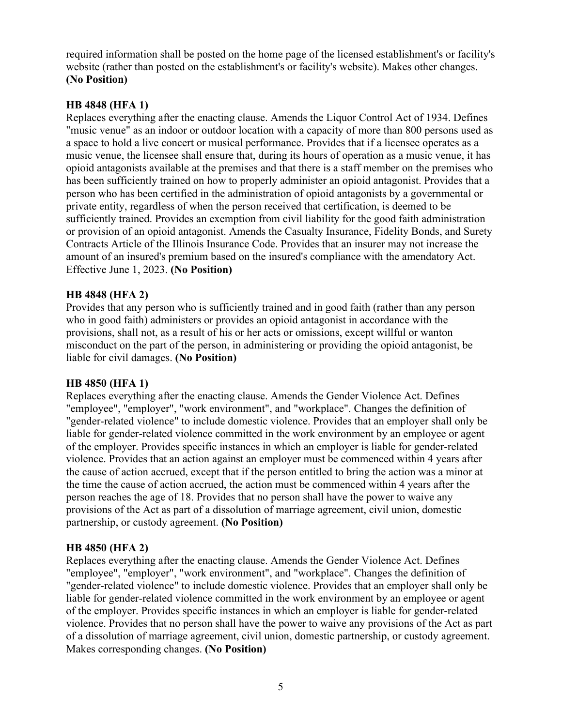required information shall be posted on the home page of the licensed establishment's or facility's website (rather than posted on the establishment's or facility's website). Makes other changes. **(No Position)**

# **HB 4848 (HFA 1)**

Replaces everything after the enacting clause. Amends the Liquor Control Act of 1934. Defines "music venue" as an indoor or outdoor location with a capacity of more than 800 persons used as a space to hold a live concert or musical performance. Provides that if a licensee operates as a music venue, the licensee shall ensure that, during its hours of operation as a music venue, it has opioid antagonists available at the premises and that there is a staff member on the premises who has been sufficiently trained on how to properly administer an opioid antagonist. Provides that a person who has been certified in the administration of opioid antagonists by a governmental or private entity, regardless of when the person received that certification, is deemed to be sufficiently trained. Provides an exemption from civil liability for the good faith administration or provision of an opioid antagonist. Amends the Casualty Insurance, Fidelity Bonds, and Surety Contracts Article of the Illinois Insurance Code. Provides that an insurer may not increase the amount of an insured's premium based on the insured's compliance with the amendatory Act. Effective June 1, 2023. **(No Position)**

# **HB 4848 (HFA 2)**

Provides that any person who is sufficiently trained and in good faith (rather than any person who in good faith) administers or provides an opioid antagonist in accordance with the provisions, shall not, as a result of his or her acts or omissions, except willful or wanton misconduct on the part of the person, in administering or providing the opioid antagonist, be liable for civil damages. **(No Position)**

# **HB 4850 (HFA 1)**

Replaces everything after the enacting clause. Amends the Gender Violence Act. Defines "employee", "employer", "work environment", and "workplace". Changes the definition of "gender-related violence" to include domestic violence. Provides that an employer shall only be liable for gender-related violence committed in the work environment by an employee or agent of the employer. Provides specific instances in which an employer is liable for gender-related violence. Provides that an action against an employer must be commenced within 4 years after the cause of action accrued, except that if the person entitled to bring the action was a minor at the time the cause of action accrued, the action must be commenced within 4 years after the person reaches the age of 18. Provides that no person shall have the power to waive any provisions of the Act as part of a dissolution of marriage agreement, civil union, domestic partnership, or custody agreement. **(No Position)**

# **HB 4850 (HFA 2)**

Replaces everything after the enacting clause. Amends the Gender Violence Act. Defines "employee", "employer", "work environment", and "workplace". Changes the definition of "gender-related violence" to include domestic violence. Provides that an employer shall only be liable for gender-related violence committed in the work environment by an employee or agent of the employer. Provides specific instances in which an employer is liable for gender-related violence. Provides that no person shall have the power to waive any provisions of the Act as part of a dissolution of marriage agreement, civil union, domestic partnership, or custody agreement. Makes corresponding changes. **(No Position)**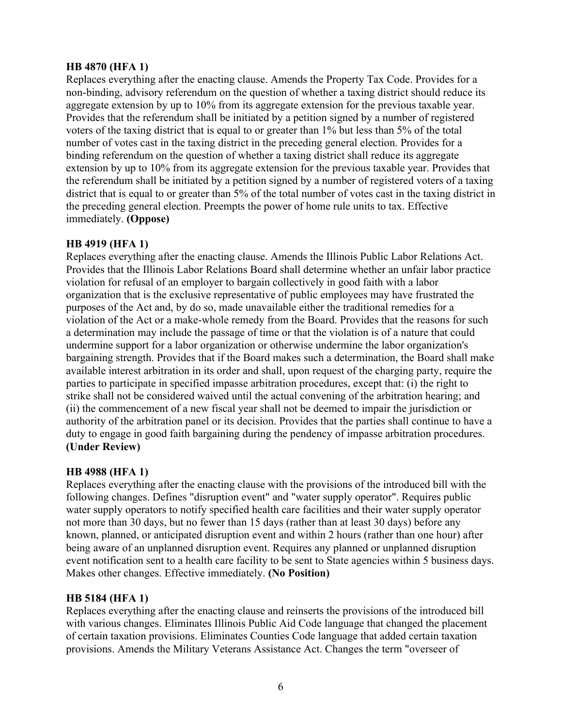### **HB 4870 (HFA 1)**

Replaces everything after the enacting clause. Amends the Property Tax Code. Provides for a non-binding, advisory referendum on the question of whether a taxing district should reduce its aggregate extension by up to 10% from its aggregate extension for the previous taxable year. Provides that the referendum shall be initiated by a petition signed by a number of registered voters of the taxing district that is equal to or greater than 1% but less than 5% of the total number of votes cast in the taxing district in the preceding general election. Provides for a binding referendum on the question of whether a taxing district shall reduce its aggregate extension by up to 10% from its aggregate extension for the previous taxable year. Provides that the referendum shall be initiated by a petition signed by a number of registered voters of a taxing district that is equal to or greater than 5% of the total number of votes cast in the taxing district in the preceding general election. Preempts the power of home rule units to tax. Effective immediately. **(Oppose)**

# **HB 4919 (HFA 1)**

Replaces everything after the enacting clause. Amends the Illinois Public Labor Relations Act. Provides that the Illinois Labor Relations Board shall determine whether an unfair labor practice violation for refusal of an employer to bargain collectively in good faith with a labor organization that is the exclusive representative of public employees may have frustrated the purposes of the Act and, by do so, made unavailable either the traditional remedies for a violation of the Act or a make-whole remedy from the Board. Provides that the reasons for such a determination may include the passage of time or that the violation is of a nature that could undermine support for a labor organization or otherwise undermine the labor organization's bargaining strength. Provides that if the Board makes such a determination, the Board shall make available interest arbitration in its order and shall, upon request of the charging party, require the parties to participate in specified impasse arbitration procedures, except that: (i) the right to strike shall not be considered waived until the actual convening of the arbitration hearing; and (ii) the commencement of a new fiscal year shall not be deemed to impair the jurisdiction or authority of the arbitration panel or its decision. Provides that the parties shall continue to have a duty to engage in good faith bargaining during the pendency of impasse arbitration procedures. **(Under Review)**

#### **HB 4988 (HFA 1)**

Replaces everything after the enacting clause with the provisions of the introduced bill with the following changes. Defines "disruption event" and "water supply operator". Requires public water supply operators to notify specified health care facilities and their water supply operator not more than 30 days, but no fewer than 15 days (rather than at least 30 days) before any known, planned, or anticipated disruption event and within 2 hours (rather than one hour) after being aware of an unplanned disruption event. Requires any planned or unplanned disruption event notification sent to a health care facility to be sent to State agencies within 5 business days. Makes other changes. Effective immediately. **(No Position)**

#### **HB 5184 (HFA 1)**

Replaces everything after the enacting clause and reinserts the provisions of the introduced bill with various changes. Eliminates Illinois Public Aid Code language that changed the placement of certain taxation provisions. Eliminates Counties Code language that added certain taxation provisions. Amends the Military Veterans Assistance Act. Changes the term "overseer of